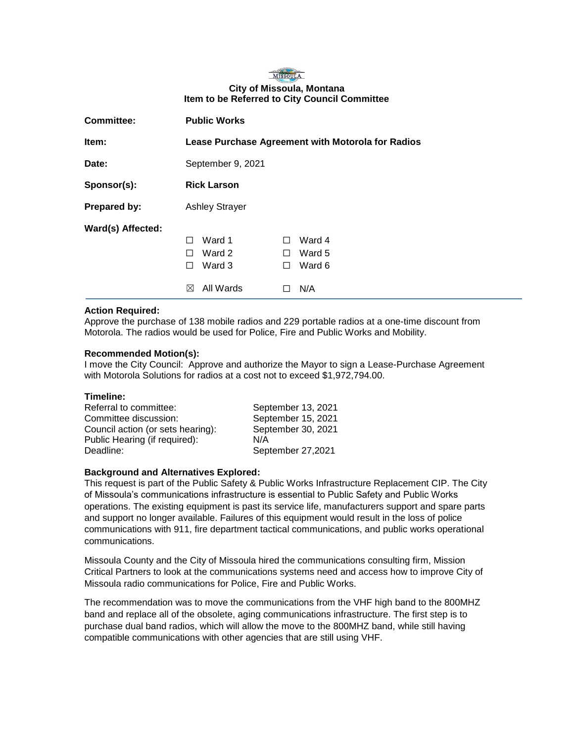# MISSOULA **City of Missoula, Montana Item to be Referred to City Council Committee**

| <b>Committee:</b> | <b>Public Works</b>                                                                                                                        |  |
|-------------------|--------------------------------------------------------------------------------------------------------------------------------------------|--|
| Item:             | Lease Purchase Agreement with Motorola for Radios                                                                                          |  |
| Date:             | September 9, 2021                                                                                                                          |  |
| Sponsor(s):       | <b>Rick Larson</b>                                                                                                                         |  |
| Prepared by:      | <b>Ashley Strayer</b>                                                                                                                      |  |
| Ward(s) Affected: | Ward 1<br>Ward 4<br>H<br>ΙI<br>Ward 2<br>Ward 5<br>$\mathsf{L}$<br>H<br>Ward 3<br>Ward 6<br>ΙI<br>$\perp$<br>All Wards<br>N/A<br>$\bowtie$ |  |

# **Action Required:**

Approve the purchase of 138 mobile radios and 229 portable radios at a one-time discount from Motorola. The radios would be used for Police, Fire and Public Works and Mobility.

# **Recommended Motion(s):**

I move the City Council: Approve and authorize the Mayor to sign a Lease-Purchase Agreement with Motorola Solutions for radios at a cost not to exceed \$1,972,794.00.

## **Timeline:**

| September 13, 2021 |
|--------------------|
| September 15, 2021 |
| September 30, 2021 |
| N/A                |
| September 27,2021  |
|                    |

#### **Background and Alternatives Explored:**

This request is part of the Public Safety & Public Works Infrastructure Replacement CIP. The City of Missoula's communications infrastructure is essential to Public Safety and Public Works operations. The existing equipment is past its service life, manufacturers support and spare parts and support no longer available. Failures of this equipment would result in the loss of police communications with 911, fire department tactical communications, and public works operational communications.

Missoula County and the City of Missoula hired the communications consulting firm, Mission Critical Partners to look at the communications systems need and access how to improve City of Missoula radio communications for Police, Fire and Public Works.

The recommendation was to move the communications from the VHF high band to the 800MHZ band and replace all of the obsolete, aging communications infrastructure. The first step is to purchase dual band radios, which will allow the move to the 800MHZ band, while still having compatible communications with other agencies that are still using VHF.